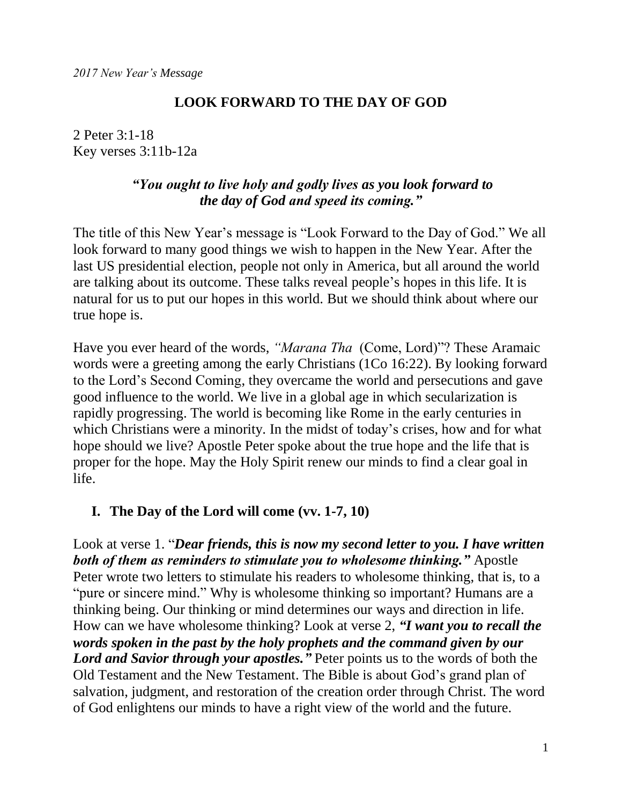## **LOOK FORWARD TO THE DAY OF GOD**

2 Peter 3:1-18 Key verses 3:11b-12a

## *"You ought to live holy and godly lives as you look forward to the day of God and speed its coming."*

The title of this New Year's message is "Look Forward to the Day of God." We all look forward to many good things we wish to happen in the New Year. After the last US presidential election, people not only in America, but all around the world are talking about its outcome. These talks reveal people's hopes in this life. It is natural for us to put our hopes in this world. But we should think about where our true hope is.

Have you ever heard of the words, *"Marana Tha* (Come, Lord)"? These Aramaic words were a greeting among the early Christians (1Co 16:22). By looking forward to the Lord's Second Coming, they overcame the world and persecutions and gave good influence to the world. We live in a global age in which secularization is rapidly progressing. The world is becoming like Rome in the early centuries in which Christians were a minority. In the midst of today's crises, how and for what hope should we live? Apostle Peter spoke about the true hope and the life that is proper for the hope. May the Holy Spirit renew our minds to find a clear goal in life.

#### **I. The Day of the Lord will come (vv. 1-7, 10)**

Look at verse 1. "*Dear friends, this is now my second letter to you. I have written both of them as reminders to stimulate you to wholesome thinking."* Apostle Peter wrote two letters to stimulate his readers to wholesome thinking, that is, to a "pure or sincere mind." Why is wholesome thinking so important? Humans are a thinking being. Our thinking or mind determines our ways and direction in life. How can we have wholesome thinking? Look at verse 2, *"I want you to recall the words spoken in the past by the holy prophets and the command given by our Lord and Savior through your apostles."* Peter points us to the words of both the Old Testament and the New Testament. The Bible is about God's grand plan of salvation, judgment, and restoration of the creation order through Christ. The word of God enlightens our minds to have a right view of the world and the future.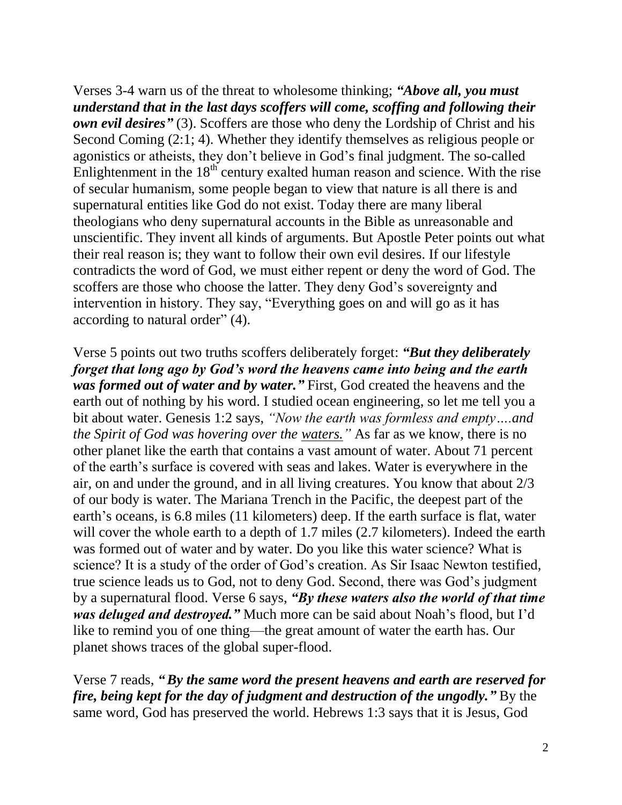Verses 3-4 warn us of the threat to wholesome thinking; *"Above all, you must understand that in the last days scoffers will come, scoffing and following their own evil desires"* (3). Scoffers are those who deny the Lordship of Christ and his Second Coming (2:1; 4). Whether they identify themselves as religious people or agonistics or atheists, they don't believe in God's final judgment. The so-called Enlightenment in the  $18<sup>th</sup>$  century exalted human reason and science. With the rise of secular humanism, some people began to view that nature is all there is and supernatural entities like God do not exist. Today there are many liberal theologians who deny supernatural accounts in the Bible as unreasonable and unscientific. They invent all kinds of arguments. But Apostle Peter points out what their real reason is; they want to follow their own evil desires. If our lifestyle contradicts the word of God, we must either repent or deny the word of God. The scoffers are those who choose the latter. They deny God's sovereignty and intervention in history. They say, "Everything goes on and will go as it has according to natural order" (4).

Verse 5 points out two truths scoffers deliberately forget: *"But they deliberately forget that long ago by God's word the heavens came into being and the earth was formed out of water and by water."* First, God created the heavens and the earth out of nothing by his word. I studied ocean engineering, so let me tell you a bit about water. Genesis 1:2 says, *"Now the earth was formless and empty….and the Spirit of God was hovering over the waters."* As far as we know, there is no other planet like the earth that contains a vast amount of water. About 71 percent of the earth's surface is covered with seas and lakes. Water is everywhere in the air, on and under the ground, and in all living creatures. You know that about 2/3 of our body is water. The Mariana Trench in the Pacific, the deepest part of the earth's oceans, is 6.8 miles (11 kilometers) deep. If the earth surface is flat, water will cover the whole earth to a depth of 1.7 miles (2.7 kilometers). Indeed the earth was formed out of water and by water. Do you like this water science? What is science? It is a study of the order of God's creation. As Sir Isaac Newton testified, true science leads us to God, not to deny God. Second, there was God's judgment by a supernatural flood. Verse 6 says, *"By these waters also the world of that time was deluged and destroyed."* Much more can be said about Noah's flood, but I'd like to remind you of one thing—the great amount of water the earth has. Our planet shows traces of the global super-flood.

Verse 7 reads, *"By the same word the present heavens and earth are reserved for fire, being kept for the day of judgment and destruction of the ungodly.* "By the same word, God has preserved the world. Hebrews 1:3 says that it is Jesus, God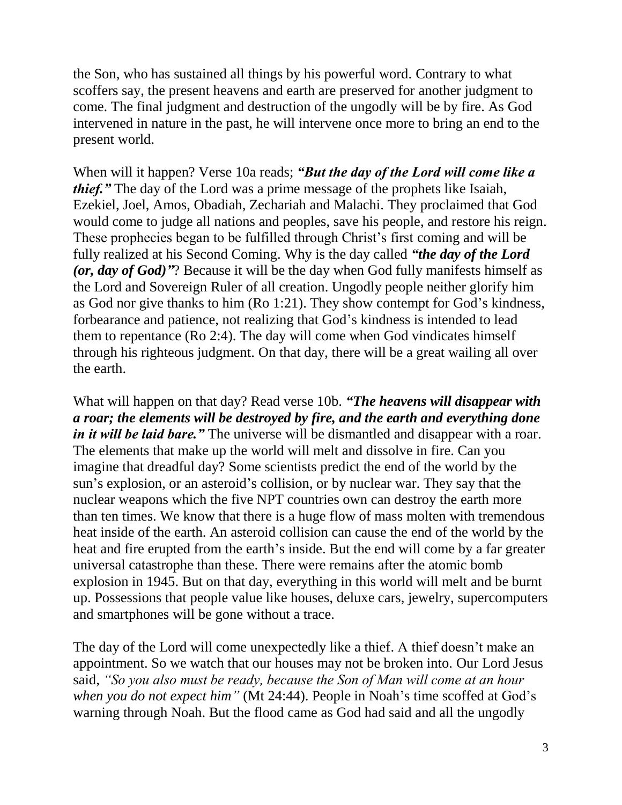the Son, who has sustained all things by his powerful word. Contrary to what scoffers say, the present heavens and earth are preserved for another judgment to come. The final judgment and destruction of the ungodly will be by fire. As God intervened in nature in the past, he will intervene once more to bring an end to the present world.

When will it happen? Verse 10a reads; *"But the day of the Lord will come like a thief."* The day of the Lord was a prime message of the prophets like Isaiah, Ezekiel, Joel, Amos, Obadiah, Zechariah and Malachi. They proclaimed that God would come to judge all nations and peoples, save his people, and restore his reign. These prophecies began to be fulfilled through Christ's first coming and will be fully realized at his Second Coming. Why is the day called *"the day of the Lord (or, day of God)"*? Because it will be the day when God fully manifests himself as the Lord and Sovereign Ruler of all creation. Ungodly people neither glorify him as God nor give thanks to him (Ro 1:21). They show contempt for God's kindness, forbearance and patience, not realizing that God's kindness is intended to lead them to repentance (Ro 2:4). The day will come when God vindicates himself through his righteous judgment. On that day, there will be a great wailing all over the earth.

What will happen on that day? Read verse 10b. *"The heavens will disappear with a roar; the elements will be destroyed by fire, and the earth and everything done in it will be laid bare.*" The universe will be dismantled and disappear with a roar. The elements that make up the world will melt and dissolve in fire. Can you imagine that dreadful day? Some scientists predict the end of the world by the sun's explosion, or an asteroid's collision, or by nuclear war. They say that the nuclear weapons which the five NPT countries own can destroy the earth more than ten times. We know that there is a huge flow of mass molten with tremendous heat inside of the earth. An asteroid collision can cause the end of the world by the heat and fire erupted from the earth's inside. But the end will come by a far greater universal catastrophe than these. There were remains after the atomic bomb explosion in 1945. But on that day, everything in this world will melt and be burnt up. Possessions that people value like houses, deluxe cars, jewelry, supercomputers and smartphones will be gone without a trace.

The day of the Lord will come unexpectedly like a thief. A thief doesn't make an appointment. So we watch that our houses may not be broken into. Our Lord Jesus said, *"So you also must be ready, because the Son of Man will come at an hour when you do not expect him"* (Mt 24:44). People in Noah's time scoffed at God's warning through Noah. But the flood came as God had said and all the ungodly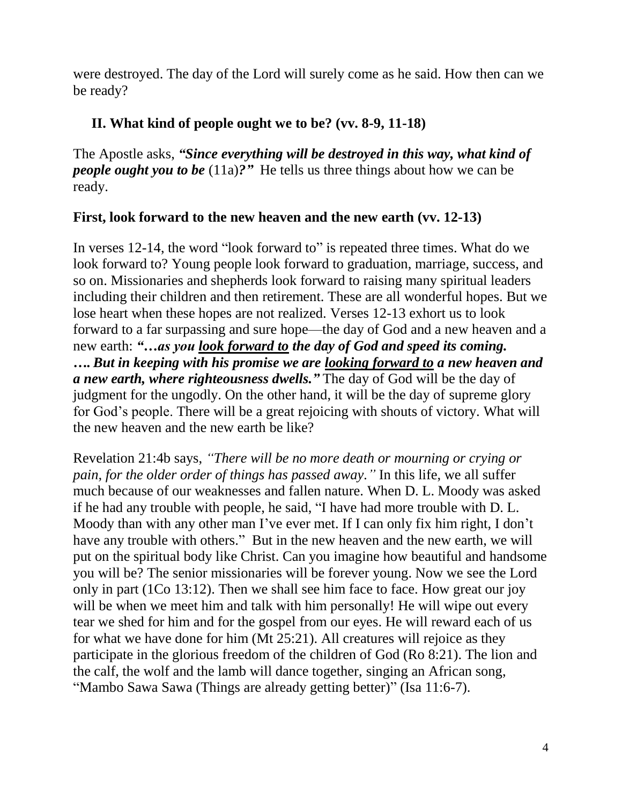were destroyed. The day of the Lord will surely come as he said. How then can we be ready?

## **II. What kind of people ought we to be? (vv. 8-9, 11-18)**

The Apostle asks, *"Since everything will be destroyed in this way, what kind of people ought you to be* (11a)?" He tells us three things about how we can be ready.

## **First, look forward to the new heaven and the new earth (vv. 12-13)**

In verses 12-14, the word "look forward to" is repeated three times. What do we look forward to? Young people look forward to graduation, marriage, success, and so on. Missionaries and shepherds look forward to raising many spiritual leaders including their children and then retirement. These are all wonderful hopes. But we lose heart when these hopes are not realized. Verses 12-13 exhort us to look forward to a far surpassing and sure hope—the day of God and a new heaven and a new earth: *"…as you look forward to the day of God and speed its coming. ….But in keeping with his promise we are looking forward to a new heaven and a new earth, where righteousness dwells."* The day of God will be the day of judgment for the ungodly. On the other hand, it will be the day of supreme glory for God's people. There will be a great rejoicing with shouts of victory. What will the new heaven and the new earth be like?

Revelation 21:4b says, *"There will be no more death or mourning or crying or pain, for the older order of things has passed away."* In this life, we all suffer much because of our weaknesses and fallen nature. When D. L. Moody was asked if he had any trouble with people, he said, "I have had more trouble with D. L. Moody than with any other man I've ever met. If I can only fix him right, I don't have any trouble with others." But in the new heaven and the new earth, we will put on the spiritual body like Christ. Can you imagine how beautiful and handsome you will be? The senior missionaries will be forever young. Now we see the Lord only in part (1Co 13:12). Then we shall see him face to face. How great our joy will be when we meet him and talk with him personally! He will wipe out every tear we shed for him and for the gospel from our eyes. He will reward each of us for what we have done for him (Mt 25:21). All creatures will rejoice as they participate in the glorious freedom of the children of God (Ro 8:21). The lion and the calf, the wolf and the lamb will dance together, singing an African song, "Mambo Sawa Sawa (Things are already getting better)" (Isa 11:6-7).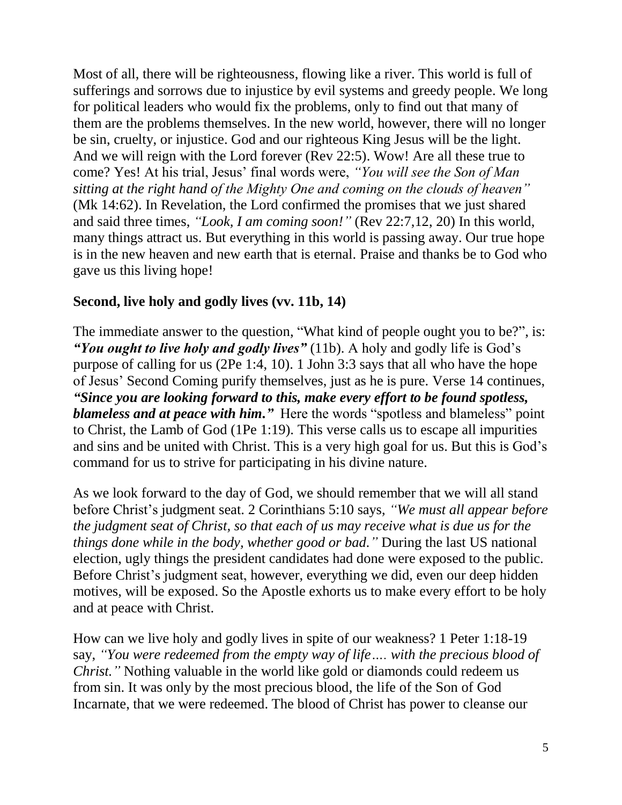Most of all, there will be righteousness, flowing like a river. This world is full of sufferings and sorrows due to injustice by evil systems and greedy people. We long for political leaders who would fix the problems, only to find out that many of them are the problems themselves. In the new world, however, there will no longer be sin, cruelty, or injustice. God and our righteous King Jesus will be the light. And we will reign with the Lord forever (Rev 22:5). Wow! Are all these true to come? Yes! At his trial, Jesus' final words were, *"You will see the Son of Man sitting at the right hand of the Mighty One and coming on the clouds of heaven"* (Mk 14:62). In Revelation, the Lord confirmed the promises that we just shared and said three times, *"Look, I am coming soon!"* (Rev 22:7,12, 20) In this world, many things attract us. But everything in this world is passing away. Our true hope is in the new heaven and new earth that is eternal. Praise and thanks be to God who gave us this living hope!

# **Second, live holy and godly lives (vv. 11b, 14)**

The immediate answer to the question, "What kind of people ought you to be?", is: *"You ought to live holy and godly lives"* (11b). A holy and godly life is God's purpose of calling for us (2Pe 1:4, 10). 1 John 3:3 says that all who have the hope of Jesus' Second Coming purify themselves, just as he is pure. Verse 14 continues, *"Since you are looking forward to this, make every effort to be found spotless, blameless and at peace with him."* Here the words "spotless and blameless" point to Christ, the Lamb of God (1Pe 1:19). This verse calls us to escape all impurities and sins and be united with Christ. This is a very high goal for us. But this is God's command for us to strive for participating in his divine nature.

As we look forward to the day of God, we should remember that we will all stand before Christ's judgment seat. 2 Corinthians 5:10 says, *"We must all appear before the judgment seat of Christ, so that each of us may receive what is due us for the things done while in the body, whether good or bad."* During the last US national election, ugly things the president candidates had done were exposed to the public. Before Christ's judgment seat, however, everything we did, even our deep hidden motives, will be exposed. So the Apostle exhorts us to make every effort to be holy and at peace with Christ.

How can we live holy and godly lives in spite of our weakness? 1 Peter 1:18-19 say, *"You were redeemed from the empty way of life…. with the precious blood of Christ.*" Nothing valuable in the world like gold or diamonds could redeem us from sin. It was only by the most precious blood, the life of the Son of God Incarnate, that we were redeemed. The blood of Christ has power to cleanse our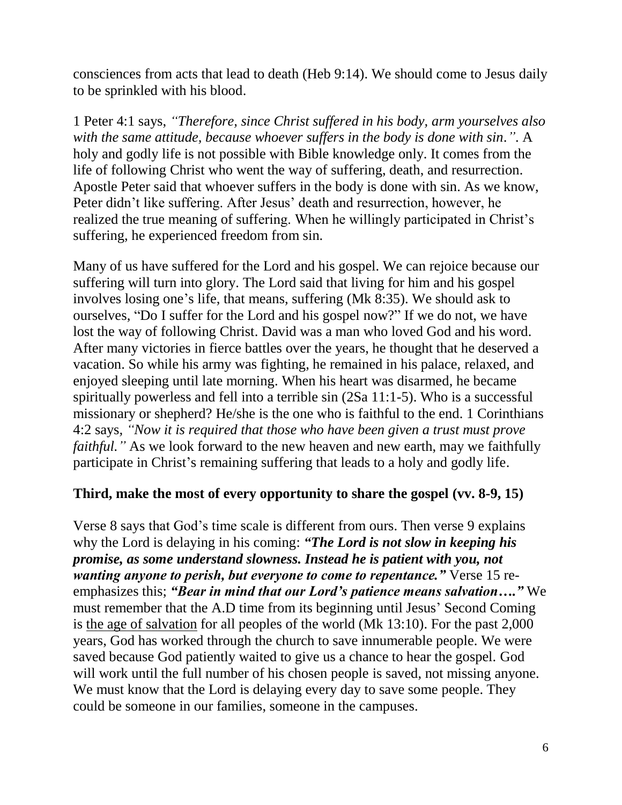consciences from acts that lead to death (Heb 9:14). We should come to Jesus daily to be sprinkled with his blood.

1 Peter 4:1 says, *"Therefore, since Christ suffered in his body, arm yourselves also with the same attitude, because whoever suffers in the body is done with sin."*. A holy and godly life is not possible with Bible knowledge only. It comes from the life of following Christ who went the way of suffering, death, and resurrection. Apostle Peter said that whoever suffers in the body is done with sin. As we know, Peter didn't like suffering. After Jesus' death and resurrection, however, he realized the true meaning of suffering. When he willingly participated in Christ's suffering, he experienced freedom from sin.

Many of us have suffered for the Lord and his gospel. We can rejoice because our suffering will turn into glory. The Lord said that living for him and his gospel involves losing one's life, that means, suffering (Mk 8:35). We should ask to ourselves, "Do I suffer for the Lord and his gospel now?" If we do not, we have lost the way of following Christ. David was a man who loved God and his word. After many victories in fierce battles over the years, he thought that he deserved a vacation. So while his army was fighting, he remained in his palace, relaxed, and enjoyed sleeping until late morning. When his heart was disarmed, he became spiritually powerless and fell into a terrible sin (2Sa 11:1-5). Who is a successful missionary or shepherd? He/she is the one who is faithful to the end. 1 Corinthians 4:2 says*, "Now it is required that those who have been given a trust must prove faithful.*" As we look forward to the new heaven and new earth, may we faithfully participate in Christ's remaining suffering that leads to a holy and godly life.

# **Third, make the most of every opportunity to share the gospel (vv. 8-9, 15)**

Verse 8 says that God's time scale is different from ours. Then verse 9 explains why the Lord is delaying in his coming: *"The Lord is not slow in keeping his promise, as some understand slowness. Instead he is patient with you, not wanting anyone to perish, but everyone to come to repentance."* Verse 15 reemphasizes this; *"Bear in mind that our Lord's patience means salvation…."* We must remember that the A.D time from its beginning until Jesus' Second Coming is the age of salvation for all peoples of the world (Mk 13:10). For the past 2,000 years, God has worked through the church to save innumerable people. We were saved because God patiently waited to give us a chance to hear the gospel. God will work until the full number of his chosen people is saved, not missing anyone. We must know that the Lord is delaying every day to save some people. They could be someone in our families, someone in the campuses.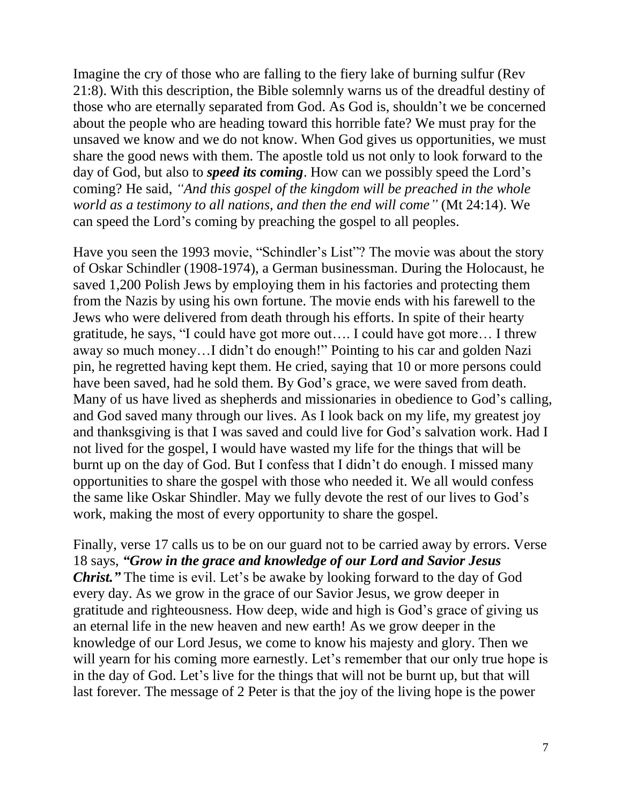Imagine the cry of those who are falling to the fiery lake of burning sulfur (Rev 21:8). With this description, the Bible solemnly warns us of the dreadful destiny of those who are eternally separated from God. As God is, shouldn't we be concerned about the people who are heading toward this horrible fate? We must pray for the unsaved we know and we do not know. When God gives us opportunities, we must share the good news with them. The apostle told us not only to look forward to the day of God, but also to *speed its coming*. How can we possibly speed the Lord's coming? He said, *"And this gospel of the kingdom will be preached in the whole world as a testimony to all nations, and then the end will come"* (Mt 24:14). We can speed the Lord's coming by preaching the gospel to all peoples.

Have you seen the 1993 movie, "Schindler's List"? The movie was about the story of Oskar Schindler (1908-1974), a German businessman. During the Holocaust, he saved 1,200 Polish Jews by employing them in his factories and protecting them from the Nazis by using his own fortune. The movie ends with his farewell to the Jews who were delivered from death through his efforts. In spite of their hearty gratitude, he says, "I could have got more out…. I could have got more… I threw away so much money…I didn't do enough!" Pointing to his car and golden Nazi pin, he regretted having kept them. He cried, saying that 10 or more persons could have been saved, had he sold them. By God's grace, we were saved from death. Many of us have lived as shepherds and missionaries in obedience to God's calling, and God saved many through our lives. As I look back on my life, my greatest joy and thanksgiving is that I was saved and could live for God's salvation work. Had I not lived for the gospel, I would have wasted my life for the things that will be burnt up on the day of God. But I confess that I didn't do enough. I missed many opportunities to share the gospel with those who needed it. We all would confess the same like Oskar Shindler. May we fully devote the rest of our lives to God's work, making the most of every opportunity to share the gospel.

Finally, verse 17 calls us to be on our guard not to be carried away by errors. Verse 18 says, *"Grow in the grace and knowledge of our Lord and Savior Jesus Christ.*" The time is evil. Let's be awake by looking forward to the day of God every day. As we grow in the grace of our Savior Jesus, we grow deeper in gratitude and righteousness. How deep, wide and high is God's grace of giving us an eternal life in the new heaven and new earth! As we grow deeper in the knowledge of our Lord Jesus, we come to know his majesty and glory. Then we will yearn for his coming more earnestly. Let's remember that our only true hope is in the day of God. Let's live for the things that will not be burnt up, but that will last forever. The message of 2 Peter is that the joy of the living hope is the power